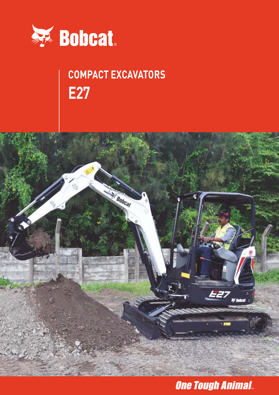

# **COMPACT EXCAVATORS E27**



### **One Tough Animal.**